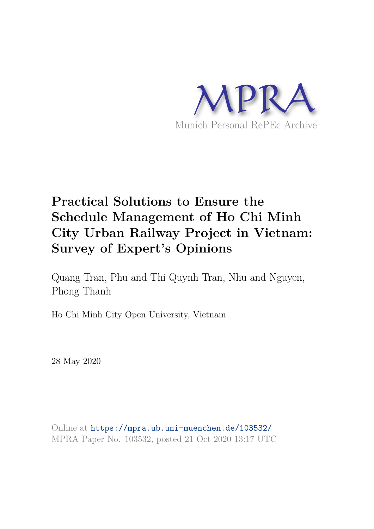

# **Practical Solutions to Ensure the Schedule Management of Ho Chi Minh City Urban Railway Project in Vietnam: Survey of Expert's Opinions**

Quang Tran, Phu and Thi Quynh Tran, Nhu and Nguyen, Phong Thanh

Ho Chi Minh City Open University, Vietnam

28 May 2020

Online at https://mpra.ub.uni-muenchen.de/103532/ MPRA Paper No. 103532, posted 21 Oct 2020 13:17 UTC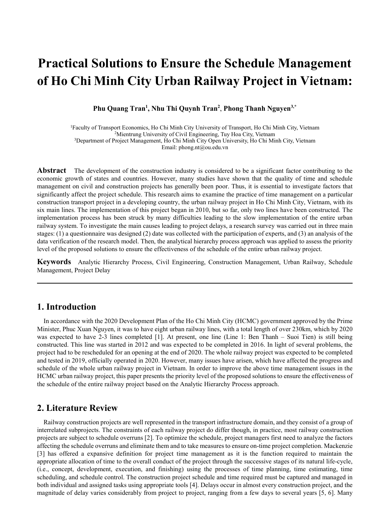# **Practical Solutions to Ensure the Schedule Management of Ho Chi Minh City Urban Railway Project in Vietnam:**

**Phu Quang Tran<sup>1</sup> , Nhu Thi Quynh Tran<sup>2</sup>** , **Phong Thanh Nguyen3,\***

Faculty of Transport Economics, Ho Chi Minh City University of Transport, Ho Chi Minh City, Vietnam Mientrung University of Civil Engineering, Tuy Hoa City, Vietnam Department of Project Management, Ho Chi Minh City Open University, Ho Chi Minh City, Vietnam Email: phong.nt@ou.edu.vn

**Abstract** The development of the construction industry is considered to be a significant factor contributing to the economic growth of states and countries. However, many studies have shown that the quality of time and schedule management on civil and construction projects has generally been poor. Thus, it is essential to investigate factors that significantly affect the project schedule. This research aims to examine the practice of time management on a particular construction transport project in a developing country, the urban railway project in Ho Chi Minh City, Vietnam, with its six main lines. The implementation of this project began in 2010, but so far, only two lines have been constructed. The implementation process has been struck by many difficulties leading to the slow implementation of the entire urban railway system. To investigate the main causes leading to project delays, a research survey was carried out in three main stages: (1) a questionnaire was designed (2) date was collected with the participation of experts, and (3) an analysis of the data verification of the research model. Then, the analytical hierarchy process approach was applied to assess the priority level of the proposed solutions to ensure the effectiveness of the schedule of the entire urban railway project.

**Keywords** Analytic Hierarchy Process, Civil Engineering, Construction Management, Urban Railway, Schedule Management, Project Delay

## **1. Introduction**

In accordance with the 2020 Development Plan of the Ho Chi Minh City (HCMC) government approved by the Prime Minister, Phuc Xuan Nguyen, it was to have eight urban railway lines, with a total length of over 230km, which by 2020 was expected to have 2-3 lines completed [1]. At present, one line (Line 1: Ben Thanh – Suoi Tien) is still being constructed. This line was started in 2012 and was expected to be completed in 2016. In light of several problems, the project had to be rescheduled for an opening at the end of 2020. The whole railway project was expected to be completed and tested in 2019, officially operated in 2020. However, many issues have arisen, which have affected the progress and schedule of the whole urban railway project in Vietnam. In order to improve the above time management issues in the HCMC urban railway project, this paper presents the priority level of the proposed solutions to ensure the effectiveness of the schedule of the entire railway project based on the Analytic Hierarchy Process approach.

### **2. Literature Review**

Railway construction projects are well represented in the transport infrastructure domain, and they consist of a group of interrelated subprojects. The constraints of each railway project do differ though, in practice, most railway construction projects are subject to schedule overruns [2]. To optimize the schedule, project managers first need to analyze the factors affecting the schedule overruns and eliminate them and to take measures to ensure on-time project completion. Mackenzie [3] has offered a expansive definition for project time management as it is the function required to maintain the appropriate allocation of time to the overall conduct of the project through the successive stages of its natural life-cycle, (i.e., concept, development, execution, and finishing) using the processes of time planning, time estimating, time scheduling, and schedule control. The construction project schedule and time required must be captured and managed in both individual and assigned tasks using appropriate tools [4]. Delays occur in almost every construction project, and the magnitude of delay varies considerably from project to project, ranging from a few days to several years [5, 6]. Many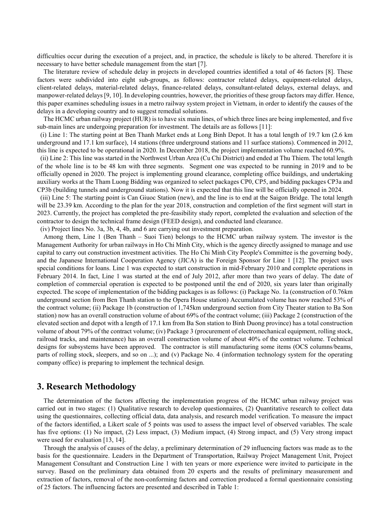difficulties occur during the execution of a project, and, in practice, the schedule is likely to be altered. Therefore it is necessary to have better schedule management from the start [7].

The literature review of schedule delay in projects in developed countries identified a total of 46 factors [8]. These factors were subdivided into eight sub-groups, as follows: contractor related delays, equipment-related delays, client-related delays, material-related delays, finance-related delays, consultant-related delays, external delays, and manpower-related delays [9, 10]. In developing countries, however, the priorities of these group factors may differ. Hence, this paper examines scheduling issues in a metro railway system project in Vietnam, in order to identify the causes of the delays in a developing country and to suggest remedial solutions.

The HCMC urban railway project (HUR) is to have six main lines, of which three lines are being implemented, and five sub-main lines are undergoing preparation for investment. The details are as follows [11]:

(i) Line 1: The starting point at Ben Thanh Market ends at Long Binh Depot. It has a total length of 19.7 km (2.6 km underground and 17.1 km surface), 14 stations (three underground stations and 11 surface stations). Commenced in 2012, this line is expected to be operational in 2020. In December 2018, the project implementation volume reached 60.9%.

(ii) Line 2: This line was started in the Northwest Urban Area (Cu Chi District) and ended at Thu Thiem. The total length of the whole line is to be 48 km with three segments. Segment one was expected to be running in 2019 and to be officially opened in 2020. The project is implementing ground clearance, completing office buildings, and undertaking auxiliary works at the Tham Luong Bidding was organized to select packages CP0, CP5, and bidding packages CP3a and CP3b (building tunnels and underground stations). Now it is expected that this line will be officially opened in 2024.

(iii) Line 5: The starting point is Can Giuoc Station (new), and the line is to end at the Saigon Bridge. The total length will be 23.39 km. According to the plan for the year 2018, construction and completion of the first segment will start in 2023. Currently, the project has completed the pre-feasibility study report, completed the evaluation and selection of the contractor to design the technical frame design (FEED design), and conducted land clearance.

(iv) Project lines No. 3a, 3b, 4, 4b, and 6 are carrying out investment preparation.

Among them, Line 1 (Ben Thanh – Suoi Tien) belongs to the HCMC urban railway system. The investor is the Management Authority for urban railways in Ho Chi Minh City, which is the agency directly assigned to manage and use capital to carry out construction investment activities. The Ho Chi Minh City People's Committee is the governing body, and the Japanese International Cooperation Agency (JICA) is the Foreign Sponsor for Line 1 [12]. The project uses special conditions for loans. Line 1 was expected to start construction in mid-February 2010 and complete operations in February 2014. In fact, Line 1 was started at the end of July 2012, after more than two years of delay. The date of completion of commercial operation is expected to be postponed until the end of 2020, six years later than originally expected. The scope of implementation of the bidding packages is as follows: (i) Package No. 1a (construction of 0.76km underground section from Ben Thanh station to the Opera House station) Accumulated volume has now reached 53% of the contract volume; (ii) Package 1b (construction of 1,745km underground section from City Theater station to Ba Son station) now has an overall construction volume of about 69% of the contract volume; (iii) Package 2 (construction of the elevated section and depot with a length of 17.1 km from Ba Son station to Binh Duong province) has a total construction volume of about 79% of the contract volume; (iv) Package 3 (procurement of electromechanical equipment, rolling stock, railroad tracks, and maintenance) has an overall construction volume of about 40% of the contract volume. Technical designs for subsystems have been approved. The contractor is still manufacturing some items (OCS columns/beams, parts of rolling stock, sleepers, and so on ...); and (v) Package No. 4 (information technology system for the operating company office) is preparing to implement the technical design.

### **3. Research Methodology**

The determination of the factors affecting the implementation progress of the HCMC urban railway project was carried out in two stages: (1) Qualitative research to develop questionnaires, (2) Quantitative research to collect data using the questionnaires, collecting official data, data analysis, and research model verification. To measure the impact of the factors identified, a Likert scale of 5 points was used to assess the impact level of observed variables. The scale has five options: (1) No impact, (2) Less impact, (3) Medium impact, (4) Strong impact, and (5) Very strong impact were used for evaluation [13, 14].

Through the analysis of causes of the delay, a preliminary determination of 29 influencing factors was made as to the basis for the questionnaire. Leaders in the Department of Transportation, Railway Project Management Unit, Project Management Consultant and Construction Line 1 with ten years or more experience were invited to participate in the survey. Based on the preliminary data obtained from 20 experts and the results of preliminary measurement and extraction of factors, removal of the non-conforming factors and correction produced a formal questionnaire consisting of 25 factors. The influencing factors are presented and described in Table 1: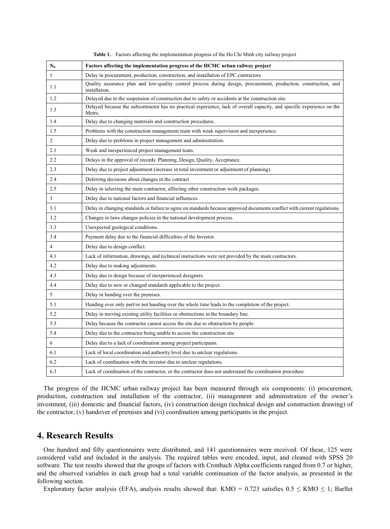| $N_0$          | Factors affecting the implementation progress of the HCMC urban railway project                                                   |
|----------------|-----------------------------------------------------------------------------------------------------------------------------------|
| $\mathbf{1}$   | Delay in procurement, production, construction, and installation of EPC contractors                                               |
| 1.1            | Quality assurance plan and low-quality control process during design, procurement, production, construction, and<br>installation. |
| 1.2            | Delayed due to the suspension of construction due to safety or accidents at the construction site.                                |
| 1.3            | Delayed because the subcontractor has no practical experience, lack of overall capacity, and specific experience on the<br>Metro. |
| 1.4            | Delay due to changing materials and construction procedures.                                                                      |
| 1.5            | Problems with the construction management team with weak supervision and inexperience.                                            |
| 2              | Delay due to problems in project management and administration.                                                                   |
| 2.1            | Weak and inexperienced project management team.                                                                                   |
| 2.2            | Delays in the approval of records: Planning, Design, Quality, Acceptance.                                                         |
| 2.3            | Delay due to project adjustment (increase in total investment or adjustment of planning).                                         |
| 2.4            | Deferring decisions about changes in the contract                                                                                 |
| 2.5            | Delay in selecting the main contractor, affecting other construction work packages.                                               |
| 3              | Delay due to national factors and financial influences.                                                                           |
| 3.1            | Delay in changing standards or failure to agree on standards because approved documents conflict with current regulations.        |
| 3.2            | Changes in laws changes policies in the national development process.                                                             |
| 3.3            | Unexpected geological conditions.                                                                                                 |
| 3.4            | Payment delay due to the financial difficulties of the Investor.                                                                  |
| $\overline{4}$ | Delay due to design conflict.                                                                                                     |
| 4.1            | Lack of information, drawings, and technical instructions were not provided by the main contractors.                              |
| 4.2            | Delay due to making adjustments.                                                                                                  |
| 4.3            | Delay due to design because of inexperienced designers.                                                                           |
| 4.4            | Delay due to new or changed standards applicable to the project.                                                                  |
| 5              | Delay in handing over the premises.                                                                                               |
| 5.1            | Handing over only part/or not handing over the whole time leads to the completion of the project.                                 |
| 5.2            | Delay in moving existing utility facilities or obstructions in the boundary line.                                                 |
| 5.3            | Delay because the contractor cannot access the site due to obstruction by people.                                                 |
| 5.4            | Delay due to the contractor being unable to access the construction site                                                          |
| 6              | Delay due to a lack of coordination among project participants.                                                                   |
| 6.1            | Lack of local coordination and authority level due to unclear regulations.                                                        |
| 6.2            | Lack of coordination with the investor due to unclear regulations.                                                                |
| 6.3            | Lack of coordination of the contractor, or the contractor does not understand the coordination procedure.                         |

**Table 1.** Factors affecting the implementation progress of the Ho Chi Minh city railway project

The progress of the HCMC urban railway project has been measured through six components: (i) procurement, production, construction and installation of the contractor, (ii) management and administration of the owner's investment, (iii) domestic and financial factors, (iv) construction design (technical design and construction drawing) of the contractor, (v) handover of premises and (vi) coordination among participants in the project.

#### **4. Research Results**

One hundred and fifty questionnaires were distributed, and 141 questionnaires were received. Of these, 125 were considered valid and included in the analysis. The required tables were encoded, input, and cleaned with SPSS 20 software. The test results showed that the groups of factors with Cronbach Alpha coefficients ranged from 0.7 or higher, and the observed variables in each group had a total variable continuation of the factor analysis, as presented in the following section.

Exploratory factor analysis (EFA), analysis results showed that: KMO = 0.723 satisfies  $0.5 \leq$  KMO  $\leq$  1; Barllet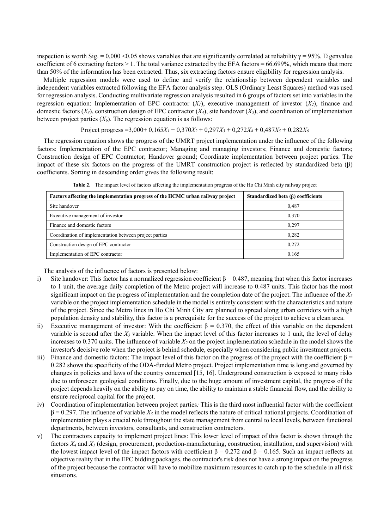inspection is worth Sig.  $= 0.000 \le 0.05$  shows variables that are significantly correlated at reliability  $\gamma = 95\%$ . Eigenvalue coefficient of 6 extracting factors  $> 1$ . The total variance extracted by the EFA factors = 66.699%, which means that more than 50% of the information has been extracted. Thus, six extracting factors ensure eligibility for regression analysis.

Multiple regression models were used to define and verify the relationship between dependent variables and independent variables extracted following the EFA factor analysis step. OLS (Ordinary Least Squares) method was used for regression analysis. Conducting multivariate regression analysis resulted in 6 groups of factors set into variables in the regression equation: Implementation of EPC contractor  $(X<sub>1</sub>)$ , executive management of investor  $(X<sub>2</sub>)$ , finance and domestic factors  $(X_3)$ , construction design of EPC contractor  $(X_4)$ , site handover  $(X_5)$ , and coordination of implementation between project parties  $(X_6)$ . The regression equation is as follows:

Project progress = 3,000+  $0.165X_1 + 0.370X_2 + 0.297X_3 + 0.272X_4 + 0.487X_5 + 0.282X_6$ 

The regression equation shows the progress of the UMRT project implementation under the influence of the following factors: Implementation of the EPC contractor; Managing and managing investors; Finance and domestic factors; Construction design of EPC Contractor; Handover ground; Coordinate implementation between project parties. The impact of these six factors on the progress of the UMRT construction project is reflected by standardized beta  $(\beta)$ coefficients. Sorting in descending order gives the following result:

| Standardized beta $(\beta)$ coefficients |  |  |  |
|------------------------------------------|--|--|--|
| 0.487                                    |  |  |  |
| 0,370                                    |  |  |  |
| 0.297                                    |  |  |  |
| 0.282                                    |  |  |  |
| 0,272                                    |  |  |  |
| 0.165                                    |  |  |  |
|                                          |  |  |  |

**Table 2.** The impact level of factors affecting the implementation progress of the Ho Chi Minh city railway project

The analysis of the influence of factors is presented below:

- i) Site handover: This factor has a normalized regression coefficient  $\beta = 0.487$ , meaning that when this factor increases to 1 unit, the average daily completion of the Metro project will increase to 0.487 units. This factor has the most significant impact on the progress of implementation and the completion date of the project. The influence of the  $X_5$ variable on the project implementation schedule in the model is entirely consistent with the characteristics and nature of the project. Since the Metro lines in Ho Chi Minh City are planned to spread along urban corridors with a high population density and stability, this factor is a prerequisite for the success of the project to achieve a clean area.
- ii) Executive management of investor: With the coefficient  $\beta = 0.370$ , the effect of this variable on the dependent variable is second after the  $X<sub>5</sub>$  variable. When the impact level of this factor increases to 1 unit, the level of delay increases to 0.370 units. The influence of variable *X2* on the project implementation schedule in the model shows the investor's decisive role when the project is behind schedule, especially when considering public investment projects.
- iii) Finance and domestic factors: The impact level of this factor on the progress of the project with the coefficient  $\beta$  = 0.282 shows the specificity of the ODA-funded Metro project. Project implementation time is long and governed by changes in policies and laws of the country concerned [15, 16]. Underground construction is exposed to many risks due to unforeseen geological conditions. Finally, due to the huge amount of investment capital, the progress of the project depends heavily on the ability to pay on time, the ability to maintain a stable financial flow, and the ability to ensure reciprocal capital for the project.
- iv) Coordination of implementation between project parties*:* This is the third most influential factor with the coefficient  $β = 0.297$ . The influence of variable  $X_3$  in the model reflects the nature of critical national projects. Coordination of implementation plays a crucial role throughout the state management from central to local levels, between functional departments, between investors, consultants, and construction contractors.
- v) The contractors capacity to implement project lines: This lower level of impact of this factor is shown through the factors  $X_4$  and  $X_1$  (design, procurement, production-manufacturing, construction, installation, and supervision) with the lowest impact level of the impact factors with coefficient  $\beta = 0.272$  and  $\beta = 0.165$ . Such an impact reflects an objective reality that in the EPC bidding packages, the contractor's risk does not have a strong impact on the progress of the project because the contractor will have to mobilize maximum resources to catch up to the schedule in all risk situations.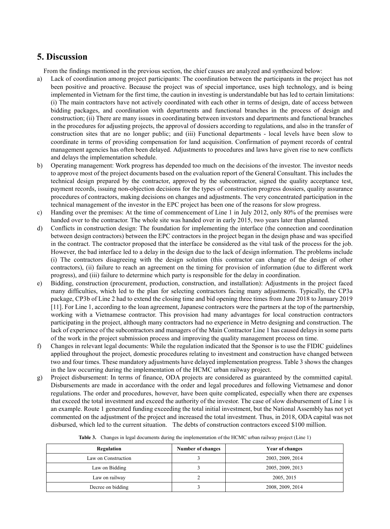# **5. Discussion**

From the findings mentioned in the previous section, the chief causes are analyzed and synthesized below:

- a) Lack of coordination among project participants: The coordination between the participants in the project has not been positive and proactive. Because the project was of special importance, uses high technology, and is being implemented in Vietnam for the first time, the caution in investing is understandable but has led to certain limitations: (i) The main contractors have not actively coordinated with each other in terms of design, date of access between bidding packages, and coordination with departments and functional branches in the process of design and construction; (ii) There are many issues in coordinating between investors and departments and functional branches in the procedures for adjusting projects, the approval of dossiers according to regulations, and also in the transfer of construction sites that are no longer public; and (iii) Functional departments - local levels have been slow to coordinate in terms of providing compensation for land acquisition. Confirmation of payment records of central management agencies has often been delayed. Adjustments to procedures and laws have given rise to new conflicts and delays the implementation schedule.
- b) Operating management: Work progress has depended too much on the decisions of the investor. The investor needs to approve most of the project documents based on the evaluation report of the General Consultant. This includes the technical design prepared by the contractor, approved by the subcontractor, signed the quality acceptance test, payment records, issuing non-objection decisions for the types of construction progress dossiers, quality assurance procedures of contractors, making decisions on changes and adjustments. The very concentrated participation in the technical management of the investor in the EPC project has been one of the reasons for slow progress.
- c) Handing over the premises: At the time of commencement of Line 1 in July 2012, only 80% of the premises were handed over to the contractor. The whole site was handed over in early 2015, two years later than planned.
- d) Conflicts in construction design: The foundation for implementing the interface (the connection and coordination between design contractors) between the EPC contractors in the project began in the design phase and was specified in the contract. The contractor proposed that the interface be considered as the vital task of the process for the job. However, the bad interface led to a delay in the design due to the lack of design information. The problems include (i) The contractors disagreeing with the design solution (this contractor can change of the design of other contractors), (ii) failure to reach an agreement on the timing for provision of information (due to different work progress), and (iii) failure to determine which party is responsible for the delay in coordination.
- e) Bidding, construction (procurement, production, construction, and installation): Adjustments in the project faced many difficulties, which led to the plan for selecting contractors facing many adjustments. Typically, the CP3a package, CP3b of Line 2 had to extend the closing time and bid opening three times from June 2018 to January 2019 [11]. For Line 1, according to the loan agreement, Japanese contractors were the partners at the top of the partnership, working with a Vietnamese contractor. This provision had many advantages for local construction contractors participating in the project, although many contractors had no experience in Metro designing and construction. The lack of experience of the subcontractors and managers of the Main Contractor Line 1 has caused delays in some parts of the work in the project submission process and improving the quality management process on time.
- f) Changes in relevant legal documents: While the regulation indicated that the Sponsor is to use the FIDIC guidelines applied throughout the project, domestic procedures relating to investment and construction have changed between two and four times. These mandatory adjustments have delayed implementation progress. Table 3 shows the changes in the law occurring during the implementation of the HCMC urban railway project.
- g) Project disbursement: In terms of finance, ODA projects are considered as guaranteed by the committed capital. Disbursements are made in accordance with the order and legal procedures and following Vietnamese and donor regulations. The order and procedures, however, have been quite complicated, especially when there are expenses that exceed the total investment and exceed the authority of the investor. The case of slow disbursement of Line 1 is an example. Route 1 generated funding exceeding the total initial investment, but the National Assembly has not yet commented on the adjustment of the project and increased the total investment. Thus, in 2018, ODA capital was not disbursed, which led to the current situation. The debts of construction contractors exceed \$100 million.

| Regulation          | Number of changes | Year of changes  |
|---------------------|-------------------|------------------|
| Law on Construction |                   | 2003, 2009, 2014 |
| Law on Bidding      |                   | 2005, 2009, 2013 |
| Law on railway      |                   | 2005, 2015       |
| Decree on bidding   |                   | 2008, 2009, 2014 |

**Table 3.** Changes in legal documents during the implementation of the HCMC urban railway project (Line 1)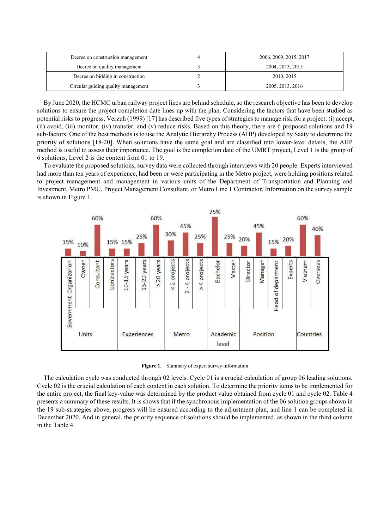| Decree on construction management   | 2006, 2009, 2015, 2017 |  |  |
|-------------------------------------|------------------------|--|--|
| Decree on quality management        | 2004, 2013, 2015       |  |  |
| Decree on bidding in construction   | 2010, 2015             |  |  |
| Circular guiding quality management | 2005, 2013, 2016       |  |  |

By June 2020, the HCMC urban railway project lines are behind schedule, so the research objective has been to develop solutions to ensure the project completion date lines up with the plan. Considering the factors that have been studied as potential risks to progress, Verzuh (1999) [17] has described five types of strategies to manage risk for a project: (i) accept, (ii) avoid, (iii) monitor, (iv) transfer, and (v) reduce risks. Based on this theory, there are 6 proposed solutions and 19 sub-factors. One of the best methods is to use the Analytic Hierarchy Process (AHP) developed by Saaty to determine the priority of solutions [18-20]. When solutions have the same goal and are classified into lower-level details, the AHP method is useful to assess their importance. The goal is the completion date of the UMRT project, Level 1 is the group of 6 solutions, Level 2 is the content from 01 to 19.

To evaluate the proposed solutions, survey data were collected through interviews with 20 people. Experts interviewed had more than ten years of experience, had been or were participating in the Metro project, were holding positions related to project management and management in various units of the Department of Transportation and Planning and Investment, Metro PMU, Project Management Consultant, or Metro Line 1 Contractor. Information on the survey sample is shown in Figure 1.



**Figure 1.** Summary of expert survey information

The calculation cycle was conducted through 02 levels. Cycle 01 is a crucial calculation of group 06 leading solutions. Cycle 02 is the crucial calculation of each content in each solution. To determine the priority items to be implemented for the entire project, the final key-value was determined by the product value obtained from cycle 01 and cycle 02. Table 4 presents a summary of these results. It is shows that if the synchronous implementation of the 06 solution groups shown in the 19 sub-strategies above, progress will be ensured according to the adjustment plan, and line 1 can be completed in December 2020. And in general, the priority sequence of solutions should be implemented, as shown in the third column in the Table 4.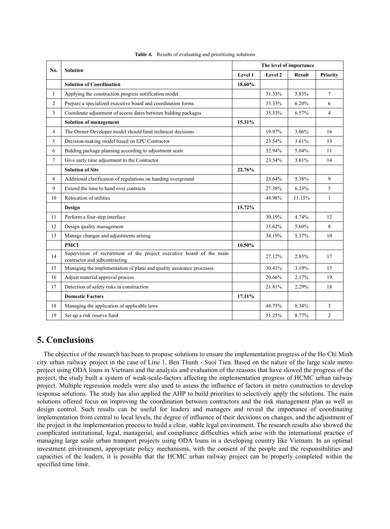| No.            | <b>Solution</b>                                                                                        | The level of importance |         |               |                |
|----------------|--------------------------------------------------------------------------------------------------------|-------------------------|---------|---------------|----------------|
|                |                                                                                                        | Level 1                 | Level 2 | <b>Result</b> | Priority       |
|                | <b>Solution of Coordination</b>                                                                        | 18.60%                  |         |               |                |
| $\mathbf{1}$   | Applying the construction progress notification model                                                  |                         | 31.33%  | 5.83%         | $\tau$         |
| $\overline{2}$ | Prepare a specialized executive board and coordination forms                                           |                         | 33.33%  | 6.20%         | 6              |
| 3              | Coordinate adjustment of access dates between bidding packages                                         |                         | 35.33%  | 6.57%         | $\overline{4}$ |
|                | <b>Solution of management</b>                                                                          | 15.31%                  |         |               |                |
| 4              | The Owner-Developer model should limit technical decisions                                             |                         | 19.97%  | 3.06%         | 16             |
| 5              | Decision-making model based on EPC Contractor                                                          |                         | 23.54%  | 3.61%         | 13             |
| 6              | Bidding package planning according to adjustment scale                                                 |                         | 32.94%  | 5.04%         | 11             |
| 7              | Give early time adjustment to the Contractor                                                           |                         | 23.54%  | 3.61%         | 14             |
|                | <b>Solution of Site</b>                                                                                | 22.76%                  |         |               |                |
| 8              | Additional clarification of regulations on handing overground                                          |                         | 23.64%  | 5.38%         | 9              |
| 9              | Extend the time to hand over contracts                                                                 |                         | 27.38%  | 6.23%         | 5              |
| 10             | Relocation of utilities                                                                                |                         | 48.98%  | 11.15%        | $\mathbf{1}$   |
|                | Design                                                                                                 | 15.72%                  |         |               |                |
| 11             | Perform a four-step interface                                                                          |                         | 30.19%  | 4.74%         | 12             |
| 12             | Design quality management                                                                              |                         | 35.62%  | 5.60%         | 8              |
| 13             | Manage changes and adjustments arising                                                                 |                         | 34.19%  | 5.37%         | 10             |
|                | <b>PMCI</b>                                                                                            | 10.50%                  |         |               |                |
| 14             | Supervision of recruitment of the project executive board of the main<br>contractor and subcontracting |                         | 27.12%  | 2.85%         | 17             |
| 15             | Managing the implementation of plans and quality assurance processes                                   |                         | 30.41%  | 3.19%         | 15             |
| 16             | Adjust material approval process                                                                       |                         | 20.66%  | 2.17%         | 19             |
| 17             | Detection of safety risks in construction                                                              |                         | 21.81%  | 2.29%         | 18             |
|                | <b>Domestic Factors</b>                                                                                | 17.11%                  |         |               |                |
| 18             | Managing the application of applicable laws                                                            |                         | 48.75%  | 8.34%         | 3              |
| 19             | Set up a risk reserve fund                                                                             |                         | 51.25%  | 8.77%         | $\overline{2}$ |

**Table 4.** Results of evaluating and prioritizing solutions

# **5. Conclusions**

The objective of the research has been to propose solutions to ensure the implementation progress of the Ho Chi Minh city urban railway project in the case of Line 1, Ben Thanh - Suoi Tien. Based on the nature of the large scale metro project using ODA loans in Vietnam and the analysis and evaluation of the reasons that have slowed the progress of the project, the study built a system of weak-scale-factors affecting the implementation progress of HCMC urban railway project. Multiple regression models were also used to assess the influence of factors in metro construction to develop response solutions. The study has also applied the AHP to build priorities to selectively apply the solutions. The main solutions offered focus on improving the coordination between contractors and the risk management plan as well as design control. Such results can be useful for leaders and managers and reveal the importance of coordinating implementation from central to local levels, the degree of influence of their decisions on changes, and the adjustment of the project in the implementation process to build a clear, stable legal environment. The research results also showed the complicated institutional, legal, managerial, and compliance difficulties which arise with the international practice of managing large scale urban transport projects using ODA loans in a developing country like Vietnam. In an optimal investment environment, appropriate policy mechanisms, with the consent of the people and the responsibilities and capacities of the leaders, it is possible that the HCMC urban railway project can be properly completed within the specified time limit.